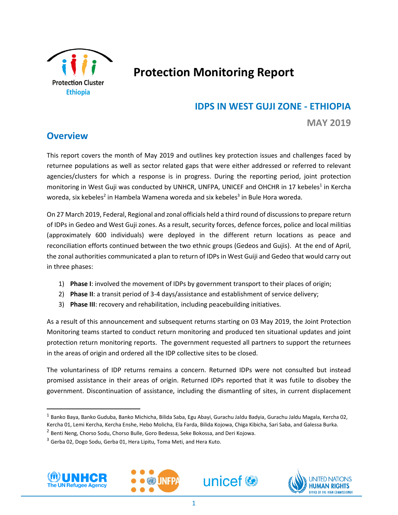

# **Protection Monitoring Report**

# **IDPS IN WEST GUJI ZONE - ETHIOPIA**

**MAY 2019**

# **Overview**

This report covers the month of May 2019 and outlines key protection issues and challenges faced by returnee populations as well as sector related gaps that were either addressed or referred to relevant agencies/clusters for which a response is in progress. During the reporting period, joint protection monitoring in West Guji was conducted by UNHCR, UNFPA, UNICEF and OHCHR in 17 kebeles<sup>1</sup> in Kercha woreda, six kebeles<sup>2</sup> in Hambela Wamena woreda and six kebeles<sup>3</sup> in Bule Hora woreda.

On 27 March 2019, Federal, Regional and zonal officials held a third round of discussionsto prepare return of IDPs in Gedeo and West Guji zones. As a result, security forces, defence forces, police and local militias (approximately 600 individuals) were deployed in the different return locations as peace and reconciliation efforts continued between the two ethnic groups (Gedeos and Gujis). At the end of April, the zonal authorities communicated a plan to return of IDPs in West Guiji and Gedeo that would carry out in three phases:

- 1) **Phase I**: involved the movement of IDPs by government transport to their places of origin;
- 2) **Phase II**: a transit period of 3-4 days/assistance and establishment of service delivery;
- 3) **Phase III**: recovery and rehabilitation, including peacebuilding initiatives.

As a result of this announcement and subsequent returns starting on 03 May 2019, the Joint Protection Monitoring teams started to conduct return monitoring and produced ten situational updates and joint protection return monitoring reports. The government requested all partners to support the returnees in the areas of origin and ordered all the IDP collective sites to be closed.

The voluntariness of IDP returns remains a concern. Returned IDPs were not consulted but instead promised assistance in their areas of origin. Returned IDPs reported that it was futile to disobey the government. Discontinuation of assistance, including the dismantling of sites, in current displacement

<sup>&</sup>lt;sup>3</sup> Gerba 02, Dogo Sodu, Gerba 01, Hera Lipitu, Toma Meti, and Hera Kuto.



l,

 $\overline{\phantom{a}}$ 







<sup>&</sup>lt;sup>1</sup> Banko Baya, Banko Guduba, Banko Michicha, Bilida Saba, Egu Abayi, Gurachu Jaldu Badyia, Gurachu Jaldu Magala, Kercha 02, Kercha 01, Lemi Kercha, Kercha Enshe, Hebo Molicha, Ela Farda, Bilida Kojowa, Chiga Kibicha, Sari Saba, and Galessa Burka.

<sup>&</sup>lt;sup>2</sup> Benti Neng, Chorso Sodu, Chorso Bulle, Goro Bedessa, Seke Bokossa, and Deri Kojowa.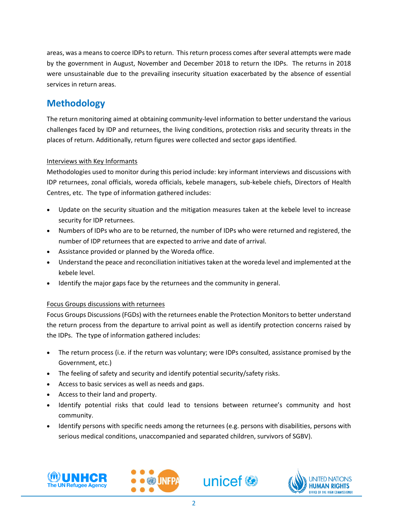areas, was a means to coerce IDPs to return. This return process comes afterseveral attempts were made by the government in August, November and December 2018 to return the IDPs. The returns in 2018 were unsustainable due to the prevailing insecurity situation exacerbated by the absence of essential services in return areas.

# **Methodology**

The return monitoring aimed at obtaining community-level information to better understand the various challenges faced by IDP and returnees, the living conditions, protection risks and security threats in the places of return. Additionally, return figures were collected and sector gaps identified.

### Interviews with Key Informants

Methodologies used to monitor during this period include: key informant interviews and discussions with IDP returnees, zonal officials, woreda officials, kebele managers, sub-kebele chiefs, Directors of Health Centres, etc. The type of information gathered includes:

- Update on the security situation and the mitigation measures taken at the kebele level to increase security for IDP returnees.
- Numbers of IDPs who are to be returned, the number of IDPs who were returned and registered, the number of IDP returnees that are expected to arrive and date of arrival.
- Assistance provided or planned by the Woreda office.
- Understand the peace and reconciliation initiatives taken at the woreda level and implemented at the kebele level.
- Identify the major gaps face by the returnees and the community in general.

### Focus Groups discussions with returnees

Focus Groups Discussions (FGDs) with the returnees enable the Protection Monitors to better understand the return process from the departure to arrival point as well as identify protection concerns raised by the IDPs. The type of information gathered includes:

- The return process (i.e. if the return was voluntary; were IDPs consulted, assistance promised by the Government, etc.)
- The feeling of safety and security and identify potential security/safety risks.
- Access to basic services as well as needs and gaps.
- Access to their land and property.
- Identify potential risks that could lead to tensions between returnee's community and host community.
- Identify persons with specific needs among the returnees (e.g. persons with disabilities, persons with serious medical conditions, unaccompanied and separated children, survivors of SGBV).







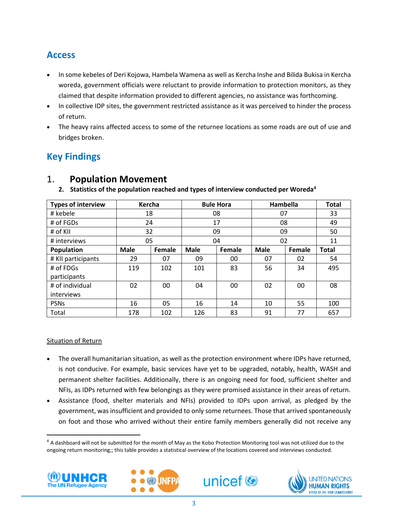# **Access**

- In some kebeles of Deri Kojowa, Hambela Wamena as well as Kercha Inshe and Bilida Bukisa in Kercha woreda, government officials were reluctant to provide information to protection monitors, as they claimed that despite information provided to different agencies, no assistance was forthcoming.
- In collective IDP sites, the government restricted assistance as it was perceived to hinder the process of return.
- The heavy rains affected access to some of the returnee locations as some roads are out of use and bridges broken.

# **Key Findings**

| <b>Types of interview</b> | Kercha      |        | <b>Bule Hora</b> |        | Hambella    |        | <b>Total</b> |
|---------------------------|-------------|--------|------------------|--------|-------------|--------|--------------|
| # kebele                  | 18          |        | 08               |        | 07          |        | 33           |
| # of FGDs                 | 24          |        | 17               |        | 08          |        | 49           |
| # of KII                  | 32          |        | 09               |        | 09          |        | 50           |
| # interviews              | 05          |        | 04               |        | 02          |        | 11           |
| Population                | <b>Male</b> | Female | <b>Male</b>      | Female | <b>Male</b> | Female | <b>Total</b> |
| # KII participants        | 29          | 07     | 09               | 00     | 07          | 02     | 54           |
| # of FDGs                 | 119         | 102    | 101              | 83     | 56          | 34     | 495          |
| participants              |             |        |                  |        |             |        |              |
| # of individual           | 02          | 00     | 04               | 00     | 02          | 00     | 08           |
| interviews                |             |        |                  |        |             |        |              |
| <b>PSNs</b>               | 16          | 05     | 16               | 14     | 10          | 55     | 100          |
| Total                     | 178         | 102    | 126              | 83     | 91          | 77     | 657          |

# 1. **Population Movement**

**2. Statistics of the population reached and types of interview conducted per Woreda<sup>4</sup>**

### Situation of Return

- The overall humanitarian situation, as well as the protection environment where IDPs have returned, is not conducive. For example, basic services have yet to be upgraded, notably, health, WASH and permanent shelter facilities. Additionally, there is an ongoing need for food, sufficient shelter and NFIs, as IDPs returned with few belongings as they were promised assistance in their areas of return.
- Assistance (food, shelter materials and NFIs) provided to IDPs upon arrival, as pledged by the government, was insufficient and provided to only some returnees. Those that arrived spontaneously on foot and those who arrived without their entire family members generally did not receive any

<sup>&</sup>lt;sup>4</sup> A dashboard will not be submitted for the month of May as the Kobo Protection Monitoring tool was not utilized due to the ongoing return monitoring;; this table provides a statistical overview of the locations covered and interviews conducted.



l,

 $\overline{\phantom{a}}$ 





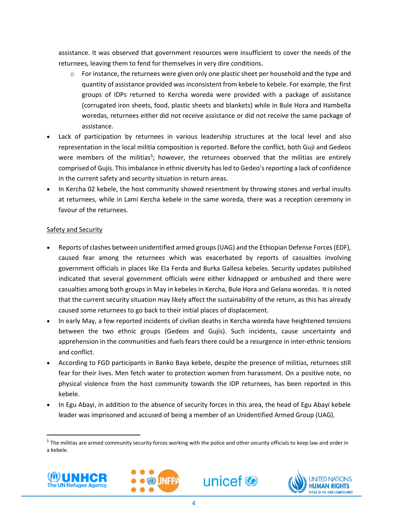assistance. It was observed that government resources were insufficient to cover the needs of the returnees, leaving them to fend for themselves in very dire conditions.

- $\circ$  For instance, the returnees were given only one plastic sheet per household and the type and quantity of assistance provided was inconsistent from kebele to kebele. For example, the first groups of IDPs returned to Kercha woreda were provided with a package of assistance (corrugated iron sheets, food, plastic sheets and blankets) while in Bule Hora and Hambella woredas, returnees either did not receive assistance or did not receive the same package of assistance.
- Lack of participation by returnees in various leadership structures at the local level and also representation in the local militia composition is reported. Before the conflict, both Guji and Gedeos were members of the militias<sup>5</sup>; however, the returnees observed that the militias are entirely comprised of Gujis. This imbalance in ethnic diversity has led to Gedeo's reporting a lack of confidence in the current safety and security situation in return areas.
- In Kercha 02 kebele, the host community showed resentment by throwing stones and verbal insults at returnees, while in Lami Kercha kebele in the same woreda, there was a reception ceremony in favour of the returnees.

#### Safety and Security

- Reports of clashes between unidentified armed groups(UAG) and the Ethiopian Defense Forces (EDF), caused fear among the returnees which was exacerbated by reports of casualties involving government officials in places like Ela Ferda and Burka Gallesa kebeles. Security updates published indicated that several government officials were either kidnapped or ambushed and there were casualties among both groups in May in kebeles in Kercha, Bule Hora and Gelana woredas. It is noted that the current security situation may likely affect the sustainability of the return, as this has already caused some returnees to go back to their initial places of displacement.
- In early May, a few reported incidents of civilian deaths in Kercha woreda have heightened tensions between the two ethnic groups (Gedeos and Gujis). Such incidents, cause uncertainty and apprehension in the communities and fuels fears there could be a resurgence in inter-ethnic tensions and conflict.
- According to FGD participants in Banko Baya kebele, despite the presence of militias, returnees still fear for their lives. Men fetch water to protection women from harassment. On a positive note, no physical violence from the host community towards the IDP returnees, has been reported in this kebele.
- In Egu Abayi, in addition to the absence of security forces in this area, the head of Egu Abayi kebele leader was imprisoned and accused of being a member of an Unidentified Armed Group (UAG).

<sup>&</sup>lt;sup>5</sup> The militias are armed community security forces working with the police and other security officials to keep law and order in a kebele.



l,

 $\overline{\phantom{a}}$ 





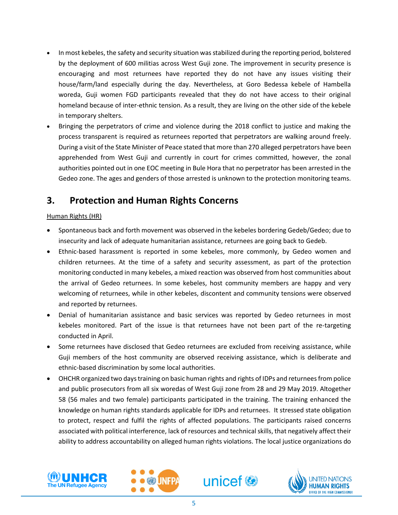- In most kebeles, the safety and security situation was stabilized during the reporting period, bolstered by the deployment of 600 militias across West Guji zone. The improvement in security presence is encouraging and most returnees have reported they do not have any issues visiting their house/farm/land especially during the day. Nevertheless, at Goro Bedessa kebele of Hambella woreda, Guji women FGD participants revealed that they do not have access to their original homeland because of inter-ethnic tension. As a result, they are living on the other side of the kebele in temporary shelters.
- Bringing the perpetrators of crime and violence during the 2018 conflict to justice and making the process transparent is required as returnees reported that perpetrators are walking around freely. During a visit of the State Minister of Peace stated that more than 270 alleged perpetrators have been apprehended from West Guji and currently in court for crimes committed, however, the zonal authorities pointed out in one EOC meeting in Bule Hora that no perpetrator has been arrested in the Gedeo zone. The ages and genders of those arrested is unknown to the protection monitoring teams.

# **3. Protection and Human Rights Concerns**

### Human Rights (HR)

- Spontaneous back and forth movement was observed in the kebeles bordering Gedeb/Gedeo; due to insecurity and lack of adequate humanitarian assistance, returnees are going back to Gedeb.
- Ethnic-based harassment is reported in some kebeles, more commonly, by Gedeo women and children returnees. At the time of a safety and security assessment, as part of the protection monitoring conducted in many kebeles, a mixed reaction was observed from host communities about the arrival of Gedeo returnees. In some kebeles, host community members are happy and very welcoming of returnees, while in other kebeles, discontent and community tensions were observed and reported by returnees.
- Denial of humanitarian assistance and basic services was reported by Gedeo returnees in most kebeles monitored. Part of the issue is that returnees have not been part of the re-targeting conducted in April.
- Some returnees have disclosed that Gedeo returnees are excluded from receiving assistance, while Guji members of the host community are observed receiving assistance, which is deliberate and ethnic-based discrimination by some local authorities.
- OHCHR organized two days training on basic human rights and rights of IDPs and returnees from police and public prosecutors from all six woredas of West Guji zone from 28 and 29 May 2019. Altogether 58 (56 males and two female) participants participated in the training. The training enhanced the knowledge on human rights standards applicable for IDPs and returnees. It stressed state obligation to protect, respect and fulfil the rights of affected populations. The participants raised concerns associated with political interference, lack of resources and technical skills, that negatively affect their ability to address accountability on alleged human rights violations. The local justice organizations do







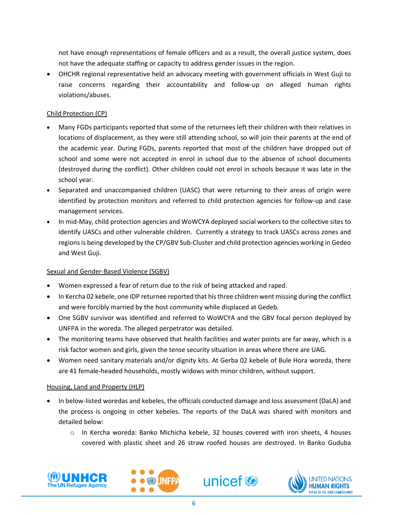not have enough representations of female officers and as a result, the overall justice system, does not have the adequate staffing or capacity to address gender issues in the region.

• OHCHR regional representative held an advocacy meeting with government officials in West Guji to raise concerns regarding their accountability and follow-up on alleged human rights violations/abuses.

#### Child Protection (CP)

- Many FGDs participants reported that some of the returnees left their children with their relatives in locations of displacement, as they were still attending school, so will join their parents at the end of the academic year. During FGDs, parents reported that most of the children have dropped out of school and some were not accepted in enrol in school due to the absence of school documents (destroyed during the conflict). Other children could not enrol in schools because it was late in the school year.
- Separated and unaccompanied children (UASC) that were returning to their areas of origin were identified by protection monitors and referred to child protection agencies for follow-up and case management services.
- In mid-May, child protection agencies and WoWCYA deployed social workers to the collective sites to identify UASCs and other vulnerable children. Currently a strategy to track UASCs across zones and regions is being developed by the CP/GBV Sub-Cluster and child protection agencies working in Gedeo and West Guji.

#### Sexual and Gender-Based Violence (SGBV)

- Women expressed a fear of return due to the risk of being attacked and raped.
- In Kercha 02 kebele, one IDP returnee reported that his three children went missing during the conflict and were forcibly married by the host community while displaced at Gedeb.
- One SGBV survivor was identified and referred to WoWCYA and the GBV focal person deployed by UNFPA in the woreda. The alleged perpetrator was detailed.
- The monitoring teams have observed that health facilities and water points are far away, which is a risk factor women and girls, given the tense security situation in areas where there are UAG.
- Women need sanitary materials and/or dignity kits. At Gerba 02 kebele of Bule Hora woreda, there are 41 female-headed households, mostly widows with minor children, without support.

#### Housing, Land and Property (HLP)

- In below-listed woredas and kebeles, the officials conducted damage and loss assessment (DaLA) and the process is ongoing in other kebeles. The reports of the DaLA was shared with monitors and detailed below:
	- o In Kercha woreda: Banko Michicha kebele, 32 houses covered with iron sheets, 4 houses covered with plastic sheet and 26 straw roofed houses are destroyed. In Banko Guduba







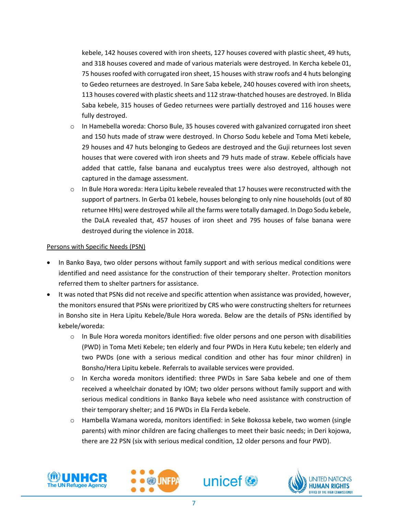kebele, 142 houses covered with iron sheets, 127 houses covered with plastic sheet, 49 huts, and 318 houses covered and made of various materials were destroyed. In Kercha kebele 01, 75 houses roofed with corrugated iron sheet, 15 houses with straw roofs and 4 huts belonging to Gedeo returnees are destroyed. In Sare Saba kebele, 240 houses covered with iron sheets, 113 houses covered with plastic sheets and 112 straw-thatched houses are destroyed. In Blida Saba kebele, 315 houses of Gedeo returnees were partially destroyed and 116 houses were fully destroyed.

- o In Hamebella woreda: Chorso Bule, 35 houses covered with galvanized corrugated iron sheet and 150 huts made of straw were destroyed. In Chorso Sodu kebele and Toma Meti kebele, 29 houses and 47 huts belonging to Gedeos are destroyed and the Guji returnees lost seven houses that were covered with iron sheets and 79 huts made of straw. Kebele officials have added that cattle, false banana and eucalyptus trees were also destroyed, although not captured in the damage assessment.
- $\circ$  In Bule Hora woreda: Hera Lipitu kebele revealed that 17 houses were reconstructed with the support of partners. In Gerba 01 kebele, houses belonging to only nine households (out of 80 returnee HHs) were destroyed while all the farms were totally damaged. In Dogo Sodu kebele, the DaLA revealed that, 457 houses of iron sheet and 795 houses of false banana were destroyed during the violence in 2018.

#### Persons with Specific Needs (PSN)

- In Banko Baya, two older persons without family support and with serious medical conditions were identified and need assistance for the construction of their temporary shelter. Protection monitors referred them to shelter partners for assistance.
- It was noted that PSNs did not receive and specific attention when assistance was provided, however, the monitors ensured that PSNs were prioritized by CRS who were constructing shelters for returnees in Bonsho site in Hera Lipitu Kebele/Bule Hora woreda. Below are the details of PSNs identified by kebele/woreda:
	- $\circ$  In Bule Hora woreda monitors identified: five older persons and one person with disabilities (PWD) in Toma Meti Kebele; ten elderly and four PWDs in Hera Kutu kebele; ten elderly and two PWDs (one with a serious medical condition and other has four minor children) in Bonsho/Hera Lipitu kebele. Referrals to available services were provided.
	- o In Kercha woreda monitors identified: three PWDs in Sare Saba kebele and one of them received a wheelchair donated by IOM; two older persons without family support and with serious medical conditions in Banko Baya kebele who need assistance with construction of their temporary shelter; and 16 PWDs in Ela Ferda kebele.
	- o Hambella Wamana woreda, monitors identified: in Seke Bokossa kebele, two women (single parents) with minor children are facing challenges to meet their basic needs; in Deri kojowa, there are 22 PSN (six with serious medical condition, 12 older persons and four PWD).







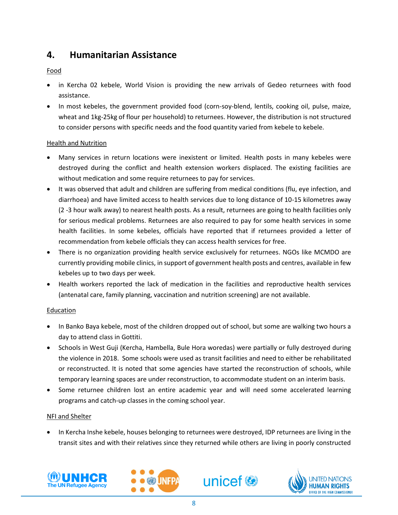# **4. Humanitarian Assistance**

### Food

- in Kercha 02 kebele, World Vision is providing the new arrivals of Gedeo returnees with food assistance.
- In most kebeles, the government provided food (corn-soy-blend, lentils, cooking oil, pulse, maize, wheat and 1kg-25kg of flour per household) to returnees. However, the distribution is not structured to consider persons with specific needs and the food quantity varied from kebele to kebele.

### Health and Nutrition

- Many services in return locations were inexistent or limited. Health posts in many kebeles were destroyed during the conflict and health extension workers displaced. The existing facilities are without medication and some require returnees to pay for services.
- It was observed that adult and children are suffering from medical conditions (flu, eye infection, and diarrhoea) and have limited access to health services due to long distance of 10-15 kilometres away (2 -3 hour walk away) to nearest health posts. As a result, returnees are going to health facilities only for serious medical problems. Returnees are also required to pay for some health services in some health facilities. In some kebeles, officials have reported that if returnees provided a letter of recommendation from kebele officials they can access health services for free.
- There is no organization providing health service exclusively for returnees. NGOs like MCMDO are currently providing mobile clinics, in support of government health posts and centres, available in few kebeles up to two days per week.
- Health workers reported the lack of medication in the facilities and reproductive health services (antenatal care, family planning, vaccination and nutrition screening) are not available.

### Education

- In Banko Baya kebele, most of the children dropped out of school, but some are walking two hours a day to attend class in Gottiti.
- Schools in West Guji (Kercha, Hambella, Bule Hora woredas) were partially or fully destroyed during the violence in 2018. Some schools were used as transit facilities and need to either be rehabilitated or reconstructed. It is noted that some agencies have started the reconstruction of schools, while temporary learning spaces are under reconstruction, to accommodate student on an interim basis.
- Some returnee children lost an entire academic year and will need some accelerated learning programs and catch-up classes in the coming school year.

## NFI and Shelter

• In Kercha Inshe kebele, houses belonging to returnees were destroyed, IDP returnees are living in the transit sites and with their relatives since they returned while others are living in poorly constructed







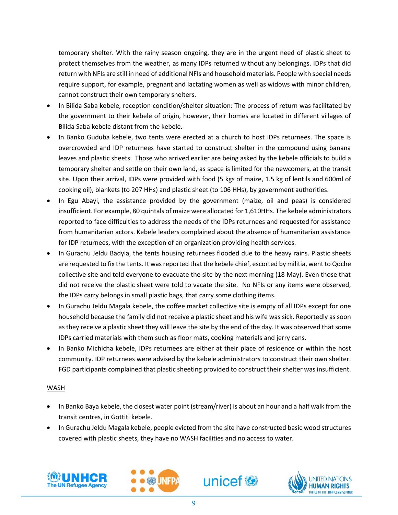temporary shelter. With the rainy season ongoing, they are in the urgent need of plastic sheet to protect themselves from the weather, as many IDPs returned without any belongings. IDPs that did return with NFIs are still in need of additional NFIs and household materials. People with special needs require support, for example, pregnant and lactating women as well as widows with minor children, cannot construct their own temporary shelters.

- In Bilida Saba kebele, reception condition/shelter situation: The process of return was facilitated by the government to their kebele of origin, however, their homes are located in different villages of Bilida Saba kebele distant from the kebele.
- In Banko Guduba kebele, two tents were erected at a church to host IDPs returnees. The space is overcrowded and IDP returnees have started to construct shelter in the compound using banana leaves and plastic sheets. Those who arrived earlier are being asked by the kebele officials to build a temporary shelter and settle on their own land, as space is limited for the newcomers, at the transit site. Upon their arrival, IDPs were provided with food (5 kgs of maize, 1.5 kg of lentils and 600ml of cooking oil), blankets (to 207 HHs) and plastic sheet (to 106 HHs), by government authorities.
- In Egu Abayi, the assistance provided by the government (maize, oil and peas) is considered insufficient. For example, 80 quintals of maize were allocated for 1,610HHs. The kebele administrators reported to face difficulties to address the needs of the IDPs returnees and requested for assistance from humanitarian actors. Kebele leaders complained about the absence of humanitarian assistance for IDP returnees, with the exception of an organization providing health services.
- In Gurachu Jeldu Badyia, the tents housing returnees flooded due to the heavy rains. Plastic sheets are requested to fix the tents. It was reported that the kebele chief, escorted by militia, went to Qoche collective site and told everyone to evacuate the site by the next morning (18 May). Even those that did not receive the plastic sheet were told to vacate the site. No NFIs or any items were observed, the IDPs carry belongs in small plastic bags, that carry some clothing items.
- In Gurachu Jeldu Magala kebele, the coffee market collective site is empty of all IDPs except for one household because the family did not receive a plastic sheet and his wife was sick. Reportedly as soon as they receive a plastic sheet they will leave the site by the end of the day. It was observed that some IDPs carried materials with them such as floor mats, cooking materials and jerry cans.
- In Banko Michicha kebele, IDPs returnees are either at their place of residence or within the host community. IDP returnees were advised by the kebele administrators to construct their own shelter. FGD participants complained that plastic sheeting provided to construct their shelter was insufficient.

#### WASH

- In Banko Baya kebele, the closest water point (stream/river) is about an hour and a half walk from the transit centres, in Gottiti kebele.
- In Gurachu Jeldu Magala kebele, people evicted from the site have constructed basic wood structures covered with plastic sheets, they have no WASH facilities and no access to water.







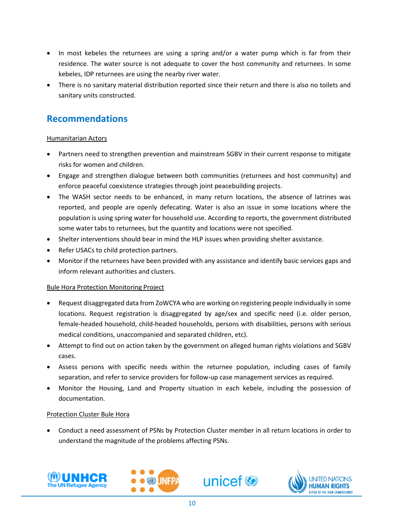- In most kebeles the returnees are using a spring and/or a water pump which is far from their residence. The water source is not adequate to cover the host community and returnees. In some kebeles, IDP returnees are using the nearby river water.
- There is no sanitary material distribution reported since their return and there is also no toilets and sanitary units constructed.

# **Recommendations**

#### Humanitarian Actors

- Partners need to strengthen prevention and mainstream SGBV in their current response to mitigate risks for women and children.
- Engage and strengthen dialogue between both communities (returnees and host community) and enforce peaceful coexistence strategies through joint peacebuilding projects.
- The WASH sector needs to be enhanced, in many return locations, the absence of latrines was reported, and people are openly defecating. Water is also an issue in some locations where the population is using spring water for household use. According to reports, the government distributed some water tabs to returnees, but the quantity and locations were not specified.
- Shelter interventions should bear in mind the HLP issues when providing shelter assistance.
- Refer USACs to child protection partners.
- Monitor if the returnees have been provided with any assistance and identify basic services gaps and inform relevant authorities and clusters.

### Bule Hora Protection Monitoring Project

- Request disaggregated data from ZoWCYA who are working on registering people individually in some locations. Request registration is disaggregated by age/sex and specific need (i.e. older person, female-headed household, child-headed households, persons with disabilities, persons with serious medical conditions, unaccompanied and separated children, etc).
- Attempt to find out on action taken by the government on alleged human rights violations and SGBV cases.
- Assess persons with specific needs within the returnee population, including cases of family separation, and refer to service providers for follow-up case management services as required.
- Monitor the Housing, Land and Property situation in each kebele, including the possession of documentation.

### Protection Cluster Bule Hora

• Conduct a need assessment of PSNs by Protection Cluster member in all return locations in order to understand the magnitude of the problems affecting PSNs.